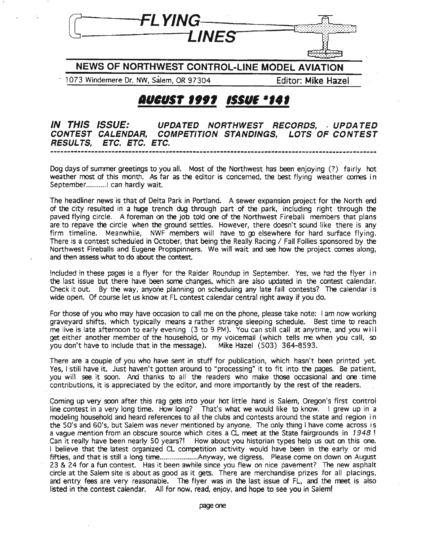

**NEWS OF NORTHWEST CONTROL-LINE MODEL AVIATION**

.. 1073 Windemere Dr. NW, Salem,OR 97304 Editor: **Mike Hazel**

## */lUIUS'* **""** *'fSU' -,.,*

**IN THIS ISSUE: UPDATED NORTHWEST RECORDS, . UPDATED CONTEST CALENDAR, COMPETITION STANDINGS, LOTS· OF CONTEST RESULTS, ETC. ETC. ETC. --...-------.\_--\_.\_.\_-----------\_..----\_...\_-....-...-\_.\_--...-----------....----------\_.\_----.-**

Dog days of summer greetings to you all. Most of the Northwest has been enjoying (?) fairly hot weather most of this month. As far as the editor is concerned, the best flying weather comes in September............. can hardly wait.

The headliner news is that of Delta Park in Portland. A sewer expansion project for the North end of the city resulted in a huge trench dug through part of the park, including right through the paved flying circle. A foreman on the job told one of the Northwest Fireball members that plans are to repave the circle when the ground settles. However, there doesn't sound like there is any firm timeline. Meanwhile, NWF members will have to go elsewhere for hard surface flying. There is a contest scheduled in October, that being the Really Racing / Fall Follies sponsored by the Northwest Fireballs and Eugene Propspinners. We will wait and see how the project comes along, and then assess what to do about the contest.

Included in these pages is a flyer for the Raider Roundup in September. Yes, we had the flyer in the last issue but there have been some changes, which are also updated in the contest calendar. Check it out. By the way, anyone planning on scheduling any late fall contests? The calendar is wide open. Of course let us know at FL contest calendar central right away if you do.

For those of you who may have occasion to call me on the phone, please take note: I am now working graveyard shifts, which typically means a rather strange sleeping schedule. Best time to reach me live is late afternoon to early evening (3 to 9 PM). You can still call at anytime, and you will get either another member of the household, or my voicemail (which tells me when you call, so you don't have to include that in the message). Mike Hazel (503) 364-8593.

There are a couple of you who have sent in stuff for publication, which hasn't been printed yet. Yes, I still have it. Just haven't gotten around to "processing" it to fit into the pages. Be patient, you will see it soon. Ard thanks to all the readers who make those occasional and one time contributions, it is appreciated by the editor, and more importantly by the rest of the readers.

Coming up very soon after this rag gets into your hot little hand is Salem, Oregon's first control line contest in a very long time. How long? That's what we would like to know. I grew up in a modeling household and heard references to all the clubs and contests around the state and region i n the 50's and 60's, but Salem was never mentioned by anyone. The only thing I have come across is a vague mention from an obscure source which cites a CL meet at the State fairgrounds in 1948! Can it really have been nearly 50 years?! How about you historian types help us out on this one. I believe that the latest organized CL competition activity would have been in the early or mid fifties, and that is still a long time........................Anyway, we digress. Please come on down on August 23 & 24 for a fun contest. Has it been awhile since you flew on nice pavement? The new asphalt circle at the Salem site is about as good as it gets. There are merchandise prizes for all placings, and entry fees are very reasonable. The flyer was in the last issue of FL, and the meet is also listed in the contest calendar. All for now, read, enjoy, and hope to see you in Salem!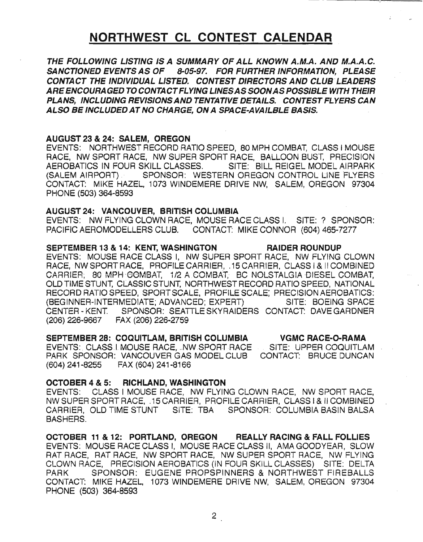## NORTHWEST CL CONTEST CALENDAR

THE FOLLOWING LISTING 15 A SUMMARY OF ALL KNOWN A.M.A. AND M.A.A.C. SANCTIONED EVENTS AS OF 8-05-97. FOR FURTHER INFORMATION, PLEASE CONTACT THE INDIVIDUAL LISTED. CONTEST DIRECTORS AND CLUB-LEADERS AREENCOURAGED TO CONTACTFLYING LINESAS SOONASPOSSIBLE WITH THEIR PLANS, INCLUDING REVISIONSAND TENTATIVE DETAILS. CONTEST FLYERS CAN ALSO BE INCLUDED AT NO CHARGE, ON A SPACE-AVA/LBLE BAS/s.

### AUGUST 23 &24: SALEM, OREGON

EVENTS: NORTHWEST RECORD RATIO SPEED, 80 MPH COMBAT, CLASS I MOUSE RACE, NW SPORT RACE, NW SUPER SPORT RACE, BALLOON BUST, PRECISION AEROBATICS IN FOUR SKILL CLASSES. SITE: BILL REIGEL MODEL AIRPARK (SALEM AIRPORT) SPONSOR: WESTERN OREGON CONTROL LINE FLYERS CONTACT: MIKE HAZEL, 1073 WINDEMERE DRIVE NW, SALEM, OREGON 97304 PHONE (503) 364-8593

#### AUGUST 24: VANCOUVER, BRITISH COLUMBIA

EVENTS: NW FLYING CLOWN RACE, MOUSE RACE CLASS I. SITE:? SPONSOR: PACIFIC AEROMODELLERS CLUB. CONTACT: MIKE CONNOR (604) 465-7277

#### SEPTEMBER 13 & 14: KENT, WASHINGTON RAIDER ROUNDUP

EVENTS: MOUSE RACE CLASS I, NW SUPER SPORT RACE, NW FLYING CLOWN RACE, NW SPORT RACE, PROFILE CARRIER, .15 CARRIER, CLASS I & II COMBINED CARRIER, 80 MPH-COMBAT, 1/2 A COMBAT, BC NOLSTALGIA DIESEL COMBAT, OLD TIME STUNT, CLASSIC STUNT, NORTHWEST RECORD RATIO SPEED, NATIONAL RECORD RATIO SPEED, SPORTSCALE, PROFILE SCALE; PRECISION AEROBATICS: (BEGINNER-INTERMEDIATE; ADVANCED; EXPERT) SITE: BOEING SPACE CENTER - KENT. SPONSOR: SEATTLE SKYRAIDERS CONTACT: DAVE GARDNER (206) 226-9667 FAX (206) 226-2759

#### VGMC RACE-Q-RAMA SEPTEMBER 28: COCUITLAM, BRITISH COLUMBIA

EVENTS:\_CLASS.I.MOUSE RACE, ..NW.SPORT.RACE \_\_\_\_SITE:\_UPPER COQUITLAM CONTACT: BRUCE DUNCAN PARK SPONSOR: VANCOUVER GAS MODEL CLUB (604) 241-8255 FAX (604)241-8166

### OCTOBER 4 &5: RICHLAND, WASHINGTON

EVENTS: CLASS I MOUSE RACE, NW FLYING CLOWN RACE, NW SPORT RACE, NW SUPER SPORT RACE, .15 CARRIER, PROFILE CARRIER, CLASS I & /I COMBINED CARRIER, OLD TIME STUNT SITE: TBA SPONSOR: COLUMBIA BASIN BALSA BASHERS.

OCTOBER 11 & 12: PORTLAND, OREGON REALLY RACING & FALL FOLLIES EVENTS: MOUSE RACE CLASS I, MOUSE RACE CLASS II, AMA GOODYEAR, SLOW RAT RACE, RAT RACE, NW SPORT RACE, NW SUPER SPORT RACE, NW FLYING CLOWN RACE, PRECISION AEROBATICS (IN FOUR SKILL CLASSES) SITE: DELTA PARK SPONSOR: EUGENE PROPSPINNERS & NORTHWEST FIREBALLS CONTACT: MIKE HAZEL, 1073 WINDEMERE DRIVE NW, SALEM, OREGON 97304 PHONE (503) 364-8593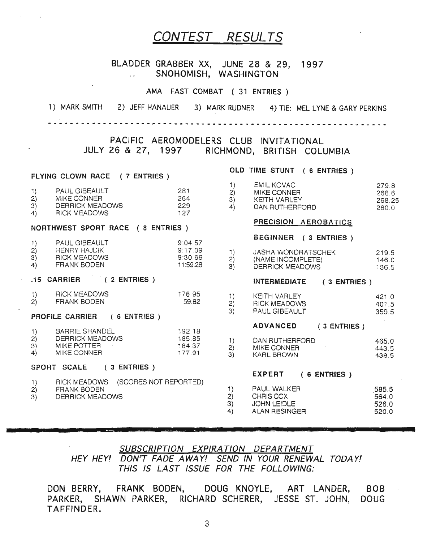## CONTEST RESULTS

#### BLADDER GRABBER XX, JUNE 28 & 29, 1997 SNOHOMISH, WASHINGTON  $\mathbf{r}$

#### AMA FAST COMBAT (31 ENTRIES)

1) MARK SMITH 2) JEFF HANAUER 3) MARK RUDNER 4) TIE: MEL LYNE & GARY PERKINS

-- --- -------------- - - - ------- --- ------ ------- -- - ------- --- - - -

## PACIFIC AEROMODELERS CLUB INVITATIONAL JULY 26 & 27, 1997 RICHMOND, BRITISH COLUMBIA

## OLD TIME STUNT ( 6 ENTRIES) FLYING CLOWN RACE ( 7 ENTRIES)

| 2) | <b>PAUL GIBEAULT</b><br>MIKE CONNER<br>DERRICK MEADOWS<br>RICK MEADOWS | 281<br>264<br>229<br>127 | MIKE CONNER<br>KEITH VARLEY<br>DAN RUTHERFORD | 268.6<br>268.2<br>260.0 |
|----|------------------------------------------------------------------------|--------------------------|-----------------------------------------------|-------------------------|
|    |                                                                        |                          |                                               |                         |

#### NORTHWEST SPORT RACE ( 8 ENTRIES)

|     | <b>PAUL GIBEAULT</b> | 9:04.57  |                    |       |
|-----|----------------------|----------|--------------------|-------|
| (2) | HENRY HAJDIK         | 9:17.09  | JASHA WONDRATSCHEK | 219.5 |
|     | RICK MEADOWS         | 9:30.66  | (NAME INCOMPLETE)  | 146.0 |
| 4)  | FRANK BODEN          | 11:59.28 | DERRICK MEADOMIC   | 10C C |

|    | <b>RICK MEADOWS</b> | 176.95 | KEITH VARLEY        | 421.0 |
|----|---------------------|--------|---------------------|-------|
|    |                     |        |                     |       |
| 2) | <b>FRANK BODEN</b>  | 59.82  | <b>RICK MEADOWS</b> | 401.5 |

## **PROFILE CARRIER** ( 6 ENTRIES )  $(3)$

|                |                     |                    | <b>ADVANCED</b> | $(3$ ENTRIES $)$ |
|----------------|---------------------|--------------------|-----------------|------------------|
|                | BARRIE SHANDEL      | 192.18             |                 |                  |
| 2)             | DERRICK MEADOWS     | 185.85             | DAN RUTHERFORD  |                  |
| 3)             | MIKE POTTER         | 184.37             | MIKE CONNER     |                  |
| $\overline{A}$ | $1117 - 2211 - 127$ | - <del>--</del> -- |                 |                  |

#### SPORT SCALE (3 ENTRIES)

|    | RICK MEADOWS (SCORES NOT REPORTED) |                    |       |
|----|------------------------------------|--------------------|-------|
| 2) | FRANK BODEN                        | <b>PAUL WALKER</b> | 585.5 |
|    | DERRICK MEADOWS                    | CHRIS COX          | 564.0 |

|                      |     | EMIL KOVAC              | 279.8         |
|----------------------|-----|-------------------------|---------------|
| <b>PAUL GIBEAULT</b> | 281 | MIKE CONNER             | 268.6         |
| MIKE CONNER          | 264 | KEITH VARLEY            | 268.25        |
| DEBBICK MEADOWS      | 229 | <u>DAN DI ITUCDEQOD</u> | $\sim$ $\sim$ |

#### PRECISION AEROBATICS

#### BEGINNER ( 3 ENTRIES )

| HENRY HAJDIK<br>RICK MEADOWS | 9:17.09<br>9:30.66 | JASHA WONDRATSCHEK<br>(NAME INCOMPLETE) | 219.5<br>146.0 |
|------------------------------|--------------------|-----------------------------------------|----------------|
| FRANK BODEN                  | 11:59.28           | DERRICK MEADOWS                         | 136.5          |

## .15 CARRIER ( 2 ENTRIES) INTERMEDIATE ( 3 ENTRIES)

| 4 N | DADDIE OUANDEL                     | $100 + 0$       |   | <b>ADVANCED</b>              | $(3$ ENTRIES) |                |
|-----|------------------------------------|-----------------|---|------------------------------|---------------|----------------|
|     | PROFILE CARRIER<br>6 ENTRIES       |                 |   | PAUL GIBEAULT                |               | 359.5          |
|     | <b>RICK MEADOWS</b><br>FRANK BODEN | '76.95<br>59.82 | っ | KEITH VARLEY<br>RICK MEADOWS |               | 421.0<br>401.5 |

| 2) | DERRICK MEADOWS<br>MIKE POTTER<br>MIKE CONNER | 85.85<br>184.37<br>177.91 | DAN RUTHERFORD<br>MIKE CONNER<br>KARL BROWN | 465.0<br>443.5<br>438.5 |
|----|-----------------------------------------------|---------------------------|---------------------------------------------|-------------------------|
|    |                                               |                           |                                             |                         |

## EXPERT ( 6 ENTRIES)

|    | PAUL WALKER   | 585.5 |
|----|---------------|-------|
| 2) | CHRIS COX     | 564.0 |
| 3) | JOHN LEIDLE   | 526.0 |
| 4) | ALAN RESINGER | 520.0 |

**&**

## SUBSCRIPTION EXPIRATION DEPARTMENT HEY HEY! DON'T FADE AWAY! SEND IN YOUR RENEWAL TODAY! THIS IS LAST ISSUE FOR THE FOLLOWING:

DON BERRY, FRANK BODEN, DOUG KNOYLE, ART LANDER, BOB PARKER, SHAWN PARKER, RICHARD SCHERER, JESSE ST. JOHN, DOUGTAFFINDER.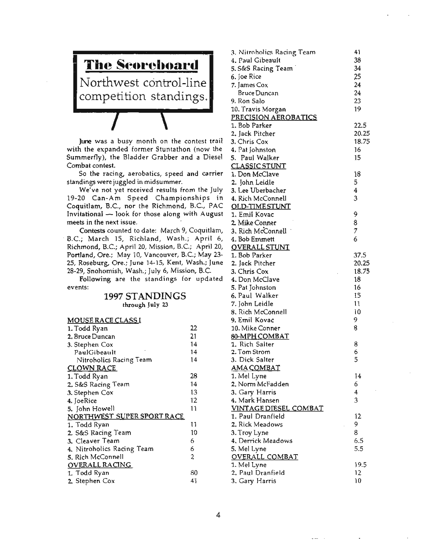# .---- - --- - **The Scoreboard** Northwest control-line competition standings.

June was a busy month on the contest trail with the expanded former Stuntathon (now the Summerf)y), the Bladder Grabber and a Diesel Combat contest.

So the racing, aerobatics, speed and carrier standings were juggled in midsummer.

We've not yet received results from the July 19-20 Can-Am Speed Championships in Coquitlam, B.C., nor the Richmond, B.C., PAC Invitational  $\sim$  look for those along with August meets in the next issue.

Contests counted to date: March 9, Coquitlam, -B.C.; March 15, Richland, Wash.; April 6, Richmond, B.C.; April 20, Mission, B.C.; April 20, Portland, Ore.; May 10, Vancouver, B.c.; May 23- 25, Roseburg, Ore.; June 14-15, Kent, Wash.; June 28-29, Snohomish, Wash.; July 6, Mission, B.c.

Following are the standings for updated events:

#### 1997 STANDINGS through July 23

#### MOUSE RACE CLASS I 1. Todd Ryan 22 2. Bruce Duncan 21 3. Stephen Cox 14 PaulGibeault 14 Nitroholics Racing Team 14 CLOWN RACE 1. Todd Ryan 28 2.5&5 Racing Team 14 3. Stephen Cox 13 4. JoeRice 12 5. John Howell 11 NORTHWEST SUPER SPORT RACE 1. Todd Ryan 11 2. 5&5 Racing Team 10 3. Cleaver Team 6 4. Nitroholics Racing Team 6 5. Rich McConnell 2 OVERALL RACING 1. Todd Ryan 80 2. Stephen Cox 41

| 3. Nitrobolics Racing Team<br>4. Paul Gibeault | 41<br>38 |
|------------------------------------------------|----------|
| 5. S&S Racing Team                             | 34       |
| 6. Joe Rice                                    | 25       |
| 7. James Cox                                   | 24       |
| <b>Bruce Duncan</b>                            | 24       |
| 9. Ron Salo                                    | 23       |
| 10. Travis Morgan                              | 19       |
| PRECISION AEROBATICS                           |          |
| 1. Bob Parker                                  | 22.5     |
|                                                |          |
| 2. Jack Pitcher                                | 20.25    |
| 3. Chris Cox                                   | 18.75    |
| 4. Pat Johnston                                | 16       |
| 5. Paul Walker                                 | 15       |
| <b>CLASSIC STUNT</b>                           |          |
| 1. Don McClave                                 | 18       |
| 2. John Leidle                                 | 5        |
| 3. Lee Uberbacher                              | 4        |
| 4. Rich McConnell                              | 3        |
| <b>OLD-TIMESTUNT</b>                           |          |
| 1. Emil Kovac                                  | 9        |
| 2. Mike Conner                                 | 8        |
|                                                |          |
| 3. Rich McConnell                              | 7        |
| 4. Bob Emmett                                  | 6        |
| <b>OVERALL STUNT</b>                           |          |
| 1. Bob Parker                                  | 37.5     |
| 2. Jack Pitcher                                | 20.25    |
| 3. Chris Cox                                   | 18.75    |
| 4. Don McClave                                 | 18       |
| 5. Pat Johnston                                | 16       |
| 6. Paul Walker                                 | 15       |
| 7. John Leidle                                 | 11       |
| 8. Rich McConnell                              | 10       |
| 9. Emil Kovac                                  | 9        |
|                                                | 8        |
| 10. Mike Conner                                |          |
| 80-MPH COMBAT                                  |          |
| 1. Rich Salter                                 | 8        |
| 2. Tom Strom                                   | 6        |
| 3. Dick Salter                                 | 5        |
| <u>AMA COMBAT</u>                              |          |
| 1. Mel Lyne                                    | 14       |
| 2. Norm McFadden                               | 6        |
| 3. Gary Harris                                 | 4        |
| 4. Mark Hansen                                 | 3        |
| <u>VINTAGE DIESEL COMBAT</u>                   |          |
| 1. Paul Dranfield                              | 12       |
| 2. Rick Meadows                                | 9        |
| 3. Troy Lyne                                   | 8        |
| 4. Derrick Meadows                             | 6.5      |
|                                                | 5.5      |
| 5. Mel Lyne                                    |          |
| OVERALL COMBAT                                 |          |
| 1. Mel Lyne                                    | 19.5     |
| 2. Paul Dranfield                              | 12       |
| 3. Gary Harris                                 | 10       |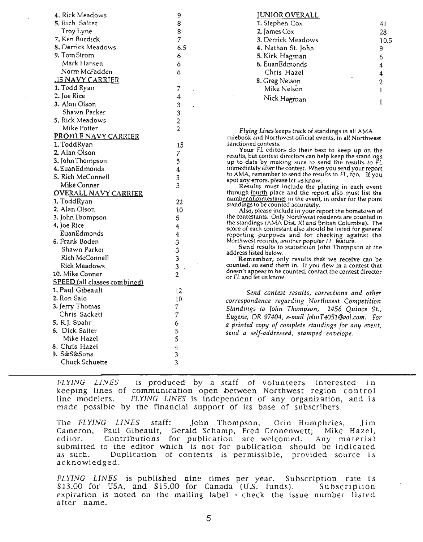| 4. Rick Meadows                                  | 9                                            |
|--------------------------------------------------|----------------------------------------------|
| 5. Rich Salter                                   | 8                                            |
| Troy Lyne                                        | 8                                            |
| 7. Ken Burdick                                   | $\overline{7}$                               |
| 8. Derrick Meadows                               | 6.5                                          |
| 9. Tom Strom                                     | 6                                            |
| Mark Hansen                                      | 6                                            |
| Norm McFadden                                    | 6                                            |
| .15 NAVY CARRIER                                 |                                              |
| 1. Todd Ryan                                     |                                              |
| 2. Joe Rice                                      | 7                                            |
|                                                  | $\frac{4}{7}$                                |
| 3. Alan Olson                                    | $\begin{array}{c}\n3 \\ 3 \\ 2\n\end{array}$ |
| Shawn Parker                                     |                                              |
| 5. Rick Meadows                                  |                                              |
| Mike Potter                                      |                                              |
| <b>PROFILE NAVY CARRIER</b>                      |                                              |
| 1. ToddRyan                                      | 15                                           |
| 2. Alan Olson                                    | 7                                            |
| 3. John Thompson                                 | 5                                            |
| <b>4. Euan Edmonds</b>                           | $\overline{\mathbf{4}}$                      |
| 5. Rich McConnell                                | 3                                            |
| Mike Conner                                      | 3                                            |
| <b>OVERALL NAVY CARRIER</b>                      |                                              |
| 1. ToddRyan                                      | 22                                           |
| 2. Alan Olson                                    | 10                                           |
| 3. John Thompson                                 | 5                                            |
| 4. Joe Rice                                      | $\overline{\mathbf{4}}$                      |
| EuanEdmonds                                      | $\overline{4}$                               |
| 6. Frank Boden                                   | 3                                            |
| Shawn Parker                                     |                                              |
| Rich McConnell                                   | $\frac{3}{3}$                                |
| Rick Meadows                                     | 3                                            |
| 10. Mike Conner                                  | $\overline{2}$                               |
|                                                  |                                              |
| SPEED (all classes combined)<br>1. Paul Gibeault |                                              |
|                                                  | 12                                           |
| 2. Ron Salo                                      | 10                                           |
| 3. Jerry Thomas                                  | 7                                            |
| Chris Sackett                                    | $\overline{7}$                               |
| 5. R.J. Spahr                                    | 6                                            |
| 6. Dick Salter                                   | 5                                            |
| Mike Hazel                                       | 5                                            |
| 8. Chris Hazel                                   | $\overline{4}$                               |
| 9. S&S&Sons                                      | 3                                            |
| Chuck Schuette                                   | 3                                            |
|                                                  |                                              |

#### JUNIOR OVERALL

| 1. Stephen Cox     | 41   |
|--------------------|------|
| 2. James Cox       | 28   |
| 3. Derrick Meadows | 10.5 |
| 4. Nathan St. John | 9    |
| 5. Kirk Hagman     | 6    |
| 6. EuanEdmonds     | 4    |
| Chris Hazel.       | 4    |
| 8. Greg Nelson     | 2    |
| Mike Nelson        |      |
| Nick Hagman        |      |

Flying Lines keeps track of standings in all AMA rulebook and Northwest official events, in all Northwest sanctioned contests.

Your FL editors do their best to keep up on the results, but contest directors can help keep the standings up to date by making sure to send the results to FL immediately after the contest. When you send your report to AMA, remember to send the results to FL, too. If you spot any errors, please let us know.

Results must include the placing in each event through fourth place and the report also must list the number of contestants in the event, in order for the point standings to be counted accurately.

Also, please include in your report the hometown of the contestants. Only Northwest residents are counted in the standings (AMA Dist. XI and British Columbia). The score of each contestant also should be listed for general reporting purposes and for checking against the Northwest records, another popular Fl. feature.

Send results to statistician John Thompson at the address listed below.

Remember, only results that we receive can be counted, so send them in. If you flew in a contest that doesn't appear to be counted, contact the contest director or FL and ret us know.

*Send contest results, corrections and other correspondence regarding Northwest Competition Standings to John Thompson, 2456 Quince St., EUKene,* OR *97404, e-mail jolmT4051@aol.com. For a printed copy of complete standinRs for any event, send a self-addressed, stamped envelope.*

*FLYING LINES* is produced by a staff of volunteers interested in keeping lines of communication open .between Northwest region control line modelers. *FLYING LINES* is independent of any organization, and is made possible by the financial support of its base of subscribers.

The *FLYING LINES* staff: John Thompson, Orin Humphries, Jim Cameron, Paul Gibeault, Gerald Schamp, Fred Cronenwett; Mike Hazel, editor. Contributions for publication are welcomed. Any material submitted to the editor which is not for publication should be indicated as such. Duplication of contents is permissible, provided source is acknowledged.

*FLYING LINES* is published nine times per year. Subscription rate is \$13.00 for USA, and \$15.00 for Canada (U.S. funds). Subscription expiration is noted on the mailing label - check the issue number listed after name.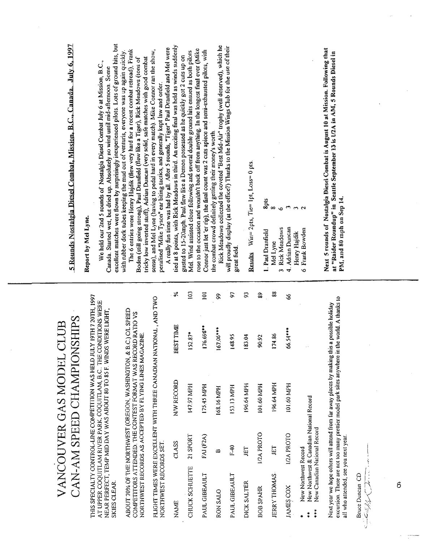# • 이品 정 all who at  $\sum_{i=1}^n a_i$ VANCOUVER GAS MODEL CLUB c<sup>√.</sup> < ∠ . ≈

NORTHWEST RECORDS SET.

|                                                       |                                                                          | VANCOUVER GAS MODEL CLUB<br>CAN-AM SPEED CHAMPIONSHIPS |                                                                                                                                                                                                                    |                |
|-------------------------------------------------------|--------------------------------------------------------------------------|--------------------------------------------------------|--------------------------------------------------------------------------------------------------------------------------------------------------------------------------------------------------------------------|----------------|
| SKIES CLEAR                                           |                                                                          |                                                        | THIS SPECIALTY CONTROL-LINE COMPETITION WAS HELD JULY 19TH 720TH, 1997<br>AT UPPER COQUITLAM RIVER PARK, COQUITLAM, B.C THE CONDITIONS WERE<br>NEAR PERFECT, TEMP MID DA Y WAS ABOUT 80 TO 85 F. WINDS WERE LIGHT, |                |
|                                                       |                                                                          |                                                        | ABOUT 70% OF THE NORTHWEST (OREGON, WASHINGTON, & B.C.) C/L SPEED COMPETITORS ATTENDED. THE CONTEST FORMAT WAS RECORD RATIO VS NORTHWEST RECORDS AS ACCEPTED BY FLYING LINES MAGAZINE.                             |                |
| NORTHWEST RECORDS SET.                                |                                                                          |                                                        | FLIGHT TIMES WERE EXCELLENT WITH THREE CANADIAN NATIONAL, AND TWO                                                                                                                                                  |                |
| NAME                                                  | CLASS                                                                    | N/W RECORD                                             | BEST TIME                                                                                                                                                                                                          | ℅              |
| CHUCK SCHUETTE                                        | 21 SPORT                                                                 | <b>HdM 26.611</b>                                      | $152.87*$                                                                                                                                                                                                          | 103            |
| PAUL GIBEAULT                                         | FAJ (F2A)                                                                | 175.45 MPH                                             | 176.698**                                                                                                                                                                                                          | $\overline{0}$ |
| RON SALO                                              | ∞                                                                        | 168.16 MPH                                             | $167.06***$                                                                                                                                                                                                        | \$             |
| PAUL GIBEAULT                                         | $F-40$                                                                   | 153.13 MPH                                             | 148.95                                                                                                                                                                                                             | 97             |
| DICK SALTER                                           | JET                                                                      | 196.64 MPH                                             | 183.04                                                                                                                                                                                                             | 5              |
| BOB SPAHR                                             | 1/2A PROTO                                                               | 101.60 MPH                                             | 90.92                                                                                                                                                                                                              | 89             |
| JERRY THOMAS                                          | EI                                                                       | 196.64 MPH                                             | 174.86                                                                                                                                                                                                             | 88             |
| JAMES COX                                             | 1/2A PROTO                                                               | 101.60 MPH                                             | 66.54****                                                                                                                                                                                                          | 8              |
| New Northwest Record<br>$***$<br>$\ddot{\ddot{\ast}}$ | New Northwest & Canadian National Record<br>New Canadian National Record |                                                        |                                                                                                                                                                                                                    |                |
| all who attended, see you next year.                  |                                                                          |                                                        | excursion. There are not too many prettier model park sites anywhere in the world. A thanks to<br>Next year we hope others will attend from far away places by making this a possible holiday                      |                |
| Bruce Duncan CD<br>$\check{\checkmark}$<br>سينتيب     |                                                                          |                                                        |                                                                                                                                                                                                                    |                |
|                                                       |                                                                          |                                                        |                                                                                                                                                                                                                    |                |
| 6                                                     |                                                                          |                                                        |                                                                                                                                                                                                                    |                |
|                                                       |                                                                          |                                                        |                                                                                                                                                                                                                    |                |
|                                                       |                                                                          |                                                        |                                                                                                                                                                                                                    |                |
|                                                       |                                                                          |                                                        |                                                                                                                                                                                                                    |                |

Bruce Duncan CD 11111

penalised MMike TysonMear biting tactics, and generally kept law and order.

 $\sum_{\substack{X \in \mathbb{R}^d \\ X \neq 0}}$   $\sum_{\substack{X \in \mathbb{R}^d \\ X \neq 0}}$   $\sum_{\substack{X \in \mathbb{R}^d \\ X \neq 0}}$   $\sum_{\substack{X \in \mathbb{R}^d \\ X \neq 0}}$   $\sum_{\substack{X \in \mathbb{R}^d \\ X \neq 0}}$   $\sum_{\substack{X \in \mathbb{R}^d \\ X \neq 0}}$   $\sum_{\substack{X \in \mathbb{R}^d \\ X \neq 0}}$  $\frac{d}{dx}$   $\frac{d}{dx}$   $\frac{d}{dx}$   $\frac{d}{dx}$   $\frac{d}{dx}$   $\frac{d}{dx}$   $\frac{d}{dx}$   $\frac{d}{dx}$   $\frac{d}{dx}$   $\frac{d}{dx}$   $\frac{d}{dx}$   $\frac{d}{dx}$   $\frac{d}{dx}$   $\frac{d}{dx}$   $\frac{d}{dx}$   $\frac{d}{dx}$   $\frac{d}{dx}$   $\frac{d}{dx}$   $\frac{d}{dx}$   $\frac{d}{dx}$   $\frac{d}{dx}$   $\frac{d}{dx}$   $\frac{1}{\sqrt{2}}$   $\frac{1}{\sqrt{2}}$   $\frac{1}{\sqrt{2}}$   $\frac{1}{\sqrt{2}}$   $\frac{1}{\sqrt{2}}$   $\frac{1}{\sqrt{2}}$   $\frac{1}{\sqrt{2}}$   $\frac{1}{\sqrt{2}}$   $\frac{1}{\sqrt{2}}$   $\frac{1}{\sqrt{2}}$   $\frac{1}{\sqrt{2}}$   $\frac{1}{\sqrt{2}}$   $\frac{1}{\sqrt{2}}$   $\frac{1}{\sqrt{2}}$   $\frac{1}{\sqrt{2}}$   $\frac{1}{\sqrt{2}}$   $\frac{1}{\sqrt{2}}$   $\mathbf{P}$   $\mathbf{u}$   $\mathbf{u}$   $\mathbf{u}$   $\mathbf{u}$   $\mathbf{v}$   $\mathbf{v}$   $\mathbf{v}$   $\mathbf{v}$   $\mathbf{v}$   $\mathbf{v}$   $\mathbf{v}$   $\mathbf{v}$   $\mathbf{v}$   $\mathbf{v}$   $\mathbf{v}$   $\mathbf{v}$   $\mathbf{v}$   $\mathbf{v}$   $\mathbf{v}$   $\mathbf{v}$   $\mathbf{v}$   $\mathbf{v}$   $\mathbf{v}$   $\mathbf{$ NEAR PERFECT. THE MID DAY STREET AND DAY ABOUT 20 TO 85 F. WINDS WERE LIGHT. THE MID DAY ABOUT 80 TO 85 F. WINDS WE  $\vec{A}$  ,  $\vec{B}$  ,  $\vec{B}$  ,  $\vec{B}$  ,  $\vec{B}$  ,  $\vec{C}$  ,  $\vec{C}$  ,  $\vec{C}$  ,  $\vec{C}$  ,  $\vec{C}$  ,  $\vec{C}$  ,  $\vec{C}$  ,  $\vec{C}$  ,  $\vec{C}$  ,  $\vec{C}$  ,  $\vec{C}$  ,  $\vec{C}$  ,  $\vec{C}$  ,  $\vec{C}$  ,  $\vec{C}$  ,  $\vec{C}$  ,  $\vec{C}$  , COMPETITORS AT RECORD AT RECORD AT RECORD RATIO VS AT RECORD RATIO VS AND RECORD RATIO VS AND RECORD RATIO VS A NORTHWEST RECORDS AS ACCEPTED BY FLYING LINES FLIGHT TIMES WERE EXCELLENT WITH THREE CANADIAN NATIONAL, AND TWO

| Adrian Duncan<br><b>Rick Meadows</b><br>Frank Bowden<br>Paul Dranfield<br>Henry Hajdik<br>Mel Lyne<br>ă<br>$\equiv$<br>4.<br>$\circ$<br>3 | 8pts<br>3<br>$\sim$<br>∞<br>3<br>6 | قل                                                                             |  |
|-------------------------------------------------------------------------------------------------------------------------------------------|------------------------------------|--------------------------------------------------------------------------------|--|
|                                                                                                                                           |                                    | Next 5 rounds of Nostalgia<br>PM, and 80 mph on Sep 14.<br>"Raider Roundup" in |  |

 $5.5$  Rounds Nostal $\frac{1}{2}$ IRET And Bowden<br>6 Frank Bowden 2<br>Next 5 rounds of Nostalgia Diesel Combat is August 10 at Mission. Following that  $\overline{z}$   $\overline{z}$   $\overline{z}$  at  $\overline{z}$  $\Xi$  entries were Henry Hajdik (flew very hard for a recent combat retread),  $\Xi$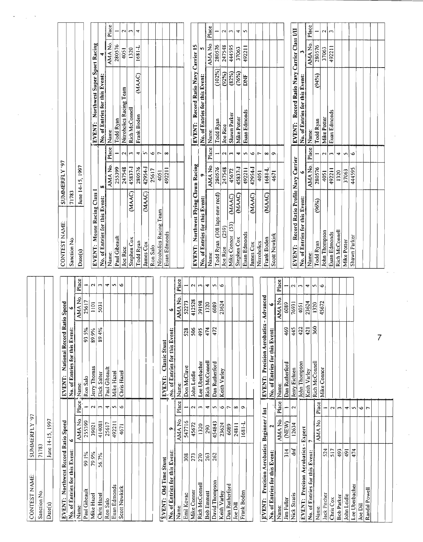| CONTEST NAME: | SUMMERFLY '97    |
|---------------|------------------|
| Sanction No.  | 71783            |
| Date(s)       | June 14-15, 1997 |
|               |                  |
|               |                  |

| CONTEST NAME                                                            |       | SUMMERFLY '97    |                    |                                    |               |                          |
|-------------------------------------------------------------------------|-------|------------------|--------------------|------------------------------------|---------------|--------------------------|
| Sanction No                                                             | 71783 |                  |                    |                                    |               |                          |
| Date(s)                                                                 |       | June 14-15, 1997 |                    |                                    |               |                          |
|                                                                         |       |                  |                    |                                    |               |                          |
|                                                                         |       |                  |                    | EVENT: National Record Ratio Speed |               |                          |
| EVENT: Northwest Record Ratio Speed<br>No. of Entries for this Event: 6 |       |                  |                    | No. of Entries for this Event:     |               |                          |
| Name:                                                                   |       | AMA No.          |                    | Place Mame:                        | AMA No.       | Place                    |
| Paul Gibeault                                                           | 99.1% | 255399           |                    | 93.5%<br>Ron Salo                  | 25617         |                          |
| Mike Hazel                                                              | 79.9% | 39021            | $\sim$             | 89.9%<br>Jerry Thomas              | $\frac{1}{2}$ | $\overline{\mathbf{c}}$  |
| Chris Hazel                                                             | 56.7% | 414081           | $\sim$             | 89.4%<br>Dick Salter               | 5031          | $\sim$                   |
| Ron Salo                                                                |       | 25617            | ↽                  | Paul Gibeault                      |               | ▿                        |
| Euan Edmonds                                                            |       | 492211           | S                  | Mike Hazel                         |               | S                        |
| <b>Scott Newkirk</b>                                                    |       | 4671             | $\circ$            | Chris Hazel                        |               | Ó                        |
|                                                                         |       |                  |                    |                                    |               |                          |
|                                                                         |       |                  |                    |                                    |               |                          |
|                                                                         |       |                  |                    |                                    |               |                          |
|                                                                         |       |                  |                    |                                    |               |                          |
|                                                                         |       |                  |                    |                                    |               |                          |
| EVENT: Old Time Stunt                                                   |       |                  |                    | JEVENT: Classic Stunt              |               |                          |
| No. of Entries for this Event:                                          |       | ۰                |                    | No. of Entries for this Event:     | ۰ø            |                          |
| Name:                                                                   |       | AMA No.          | Place              | Name:                              | AMA No.       | Place                    |
| Emil Kovac                                                              | 308   | 547716           |                    | 528<br>Don McClave                 | 52273         |                          |
| Mike Conner                                                             | 273   | 45672            | $\mathbf{\hat{z}}$ | 506<br>John Leidle                 | 412528        | $\overline{\phantom{0}}$ |
| Rich McConnell                                                          | 270   | 1320             | $\sim$             | 495<br>Lee Uberbacher              | 39198         | m                        |
| <b>Bob Emmett</b>                                                       | 263   | 290              | ᢦ                  | 474<br>Rich McConnell              | 1320          | 4                        |
| David Thompson                                                          | 262   | 454843           | Š                  | 472<br>Dan Rutherford              | 6089          | S                        |
| Keith V <u>arle</u> y                                                   |       | 23624            | $\circ$            | Keith Varley                       | 23624         | Ó                        |
| Dan Rutherford                                                          |       | 6089             | $\tilde{ }$        |                                    |               |                          |
| Joe Dill                                                                |       | 24811            | œ                  |                                    |               |                          |
| Frank Boden                                                             |       | 1681-L           | ç                  |                                    |               |                          |
|                                                                         |       |                  |                    |                                    |               |                          |

| CONTEST NAME                           |       | SUMMERFLY '97    |            |                                       |         |                          |
|----------------------------------------|-------|------------------|------------|---------------------------------------|---------|--------------------------|
| Sanction No                            | 71783 |                  |            |                                       |         |                          |
| Date(s)                                |       | June 14-15, 1997 |            |                                       |         |                          |
|                                        |       |                  |            |                                       |         |                          |
| Northwest Record Ratio Speed<br>EVENT: |       |                  |            | National Record Ratio Speed<br>EVENT: |         |                          |
| No. of Entries for this Event:         |       | ۰                |            | No. of Entries for this Event:        |         |                          |
| Name:                                  |       | AMA No.          |            | Place, Name:                          | AMA No. | Place                    |
| Paul Gibeault                          | 99.1% | 255399           |            | 93.5%<br>Ron Salo                     | 25617   |                          |
| Mike Haze                              | 79.9% | 39021            | $\sim$     | 89.9%<br>Jerry Thomas                 | 1101    | $\overline{\mathbf{c}}$  |
| Chris Hazel                            | 56.7% | 414081           | S          | 89.4%<br>Dick Salter                  | 5031    | $\sim$                   |
| Ron Salo                               |       | 25617            | ↽          | Paul Gibeault                         |         | ᢦ                        |
| Euan Edmonds                           |       | 49221            | S          | Mike Hazel                            |         | S                        |
| Scott Newkirk                          |       | 4671             | $\circ$    | Chris Hazel                           |         | P                        |
|                                        |       |                  |            |                                       |         |                          |
|                                        |       |                  |            |                                       |         |                          |
|                                        |       |                  |            |                                       |         |                          |
|                                        |       |                  |            |                                       |         |                          |
|                                        |       |                  |            |                                       |         |                          |
| EVENT: Old Time Stunt                  |       |                  |            | EVENT: Classic Stunt                  |         |                          |
| No. of Entries for this Event:         |       | Ó                |            | No. of Entries for this Event:        | ۰ø      |                          |
| Name:                                  |       | AMA No.          | Place      | Name:                                 | AMA No. | Place                    |
| Emil Kovac                             | 308   | 547716           |            | 528<br>Don McClave                    | 52273   |                          |
| Mike Conner                            | 273   | 45672            | $\sim$     | \$06<br>John Leidle                   | 412528  | $\overline{\phantom{0}}$ |
| Rich McConnell                         | 270   | 1320             | $\sim$     | 495<br>Lee Uberbacher                 | 39198   | $\sim$                   |
| <b>Bob Emmett</b>                      | 263   | 290              | 4          | 474<br>Rich McConnell                 | 1320    | 4                        |
| David Thompson                         | 262   | 454843           | S          | 472<br>Dan Rutherford                 | 6089    | S                        |
| Keith Varley                           |       | 23624            | Ó          | Keith Varley                          | 23624   | O                        |
| Dan Rutherford                         |       | 6089             | $\tilde{}$ |                                       |         |                          |
| Joe Dill                               |       | 24811            | $\infty$   |                                       |         |                          |
| Frank Boden                            |       | 1681-L           | $\sigma$   |                                       |         |                          |
|                                        |       |                  |            |                                       |         |                          |
|                                        |       |                  |            |                                       |         |                          |

| <b>EVENT:</b>                       | Precision Aerobatics Beginner / Int |                    | EVENT: Precision Aerobatics - Advanced |     |         |                    |
|-------------------------------------|-------------------------------------|--------------------|----------------------------------------|-----|---------|--------------------|
| No. of Entries for this Event:      | 2                                   |                    | No. of Entries for this Event:         |     |         |                    |
| Name:                               | AMA No.                             | Place <sup>1</sup> | Name:                                  |     | AMA No. | Place              |
| 314<br><b>Jim Fuller</b>            | (NEW)                               |                    | Dan Rutherford                         | 469 | 6089    |                    |
| ទី<br><b>Nick Stratis</b>           | 12634                               | 2                  | Jerry Eichten                          | 445 | 76931   | $\mathbf{\hat{z}}$ |
| EVENT: Precison Aerobatics - Expert |                                     |                    | John Thompson                          | 422 | 4051    | $\overline{ }$     |
| No. of Entries for this Event:      |                                     |                    | Keith Varley                           | 421 | 23624   | ₩                  |
| Name:                               | AMA No.                             | Place              | Rich McConnell                         | 360 | 1320    | S                  |
| 524<br>Jack Pitcher                 |                                     |                    | Mike Connor                            |     | 45672   | $\bullet$          |
| 517<br>Chris Cox                    |                                     | $\mathbf{\hat{z}}$ |                                        |     |         |                    |
| 493<br><b>Bob Parker</b>            |                                     | $\mathbf{r}$       | t,                                     |     |         |                    |
|                                     |                                     |                    |                                        |     |         |                    |
| 491<br>John Leidle                  |                                     | 4                  |                                        |     |         |                    |
| 474<br>Lee Uberbacher               |                                     | S                  |                                        |     |         |                    |
| <b>Joe Dill</b>                     |                                     | Ó                  |                                        |     |         |                    |
| Randal Powell                       |                                     | ٣                  |                                        |     |         |                    |
|                                     |                                     |                    |                                        |     |         |                    |
|                                     |                                     |                    |                                        | 7   |         |                    |
|                                     |                                     |                    |                                        |     |         |                    |
|                                     |                                     |                    |                                        |     |         |                    |
|                                     |                                     |                    |                                        |     |         |                    |
|                                     |                                     |                    |                                        |     |         |                    |
|                                     |                                     |                    |                                        |     |         |                    |
|                                     |                                     |                    |                                        |     |         |                    |

| CONTEST NAME:                    |       | SUMMERFLY '97           |                                     |                 |  |
|----------------------------------|-------|-------------------------|-------------------------------------|-----------------|--|
| Sanction No.                     | 71783 |                         |                                     |                 |  |
| Date(s)                          |       | June 14-15, 1997        |                                     |                 |  |
|                                  |       |                         |                                     |                 |  |
| EVENT: Mouse Racing Class I      |       |                         | EVENT: Northwest Super Sport Racing |                 |  |
| No. of Entries for this Event: 8 |       |                         | No. of Entries for this Event:      |                 |  |
| Name:                            |       | AMA No.   Place   Name: |                                     | AMA No.   Place |  |
| Paul Gibeault                    |       | 255399                  | Todd Ryan                           | 280576          |  |
| <b>Joe Rice</b>                  |       | 247548                  | 2 Nitroholics Racing Team           | 4051            |  |
|                                  |       |                         |                                     |                 |  |

| <b>CONTEST NAME</b>                     |        | SUMMERFLY '97    |                    |                                                |            |                 |
|-----------------------------------------|--------|------------------|--------------------|------------------------------------------------|------------|-----------------|
| Sanction No                             | 71783  |                  |                    |                                                |            |                 |
| Date(s)                                 |        | June 14-15, 1997 |                    |                                                |            |                 |
|                                         |        |                  |                    |                                                |            |                 |
| EVENT: Mouse Racing Class I             |        |                  |                    | Northwest Super Sport Racing<br>EVENT:         |            |                 |
| No. of Entr <u>ies fo</u> r this Event: |        | œ                |                    | No. of Entries for this Event:                 |            |                 |
| Name:                                   |        | AMA No.          | Place <sub>1</sub> | Name:                                          | AMA No.    | Place           |
| Paul Gibeault                           |        | 255399           |                    | Todd Ryan                                      | 280576     |                 |
| <b>Joe Rice</b>                         |        | 247548           | $\sim$             | Nitroholics Racing Team                        | 4051       | $\mathbf{\sim}$ |
| Stephen Cox                             | (MAAC) | 45837-1          | $\sim$             | Rich McConnell                                 | 1320       | $\mathbf{r}$    |
| Todd Ryan                               |        | 280576           | 4                  | (MAAC)<br>Frank Boden                          | $1681 - L$ | 4               |
| James Cox                               | (MAAC) | 42954-J          | in                 |                                                |            |                 |
| Ron Salo                                |        | 25617            | ۰o                 |                                                |            |                 |
| Nitroholics Racing Team                 |        | 4051             | $\overline{ }$     |                                                |            |                 |
| Euan Edmonds                            |        | 492211           | $\infty$           |                                                |            |                 |
|                                         |        |                  |                    |                                                |            |                 |
|                                         |        |                  |                    |                                                |            |                 |
|                                         |        |                  |                    |                                                |            |                 |
| EVENT: Northwest Flying Clown Racing    |        |                  |                    | Record Ratio Navy Carrier 15<br><b>IEVENT:</b> |            |                 |
| No. of Entries for this Event:          |        |                  |                    | No. of Entries for this Event:                 | w          |                 |
| Name:                                   |        | AMA No.          | Place              | Name:                                          | AMA No.    | Place           |
| (308 laps-new recd)<br>Todd Ryan        |        | 280576           |                    | (102%)<br>Todd Ryan                            | 280576     |                 |
| (259)<br>Joe Rice                       |        | 247548           | 2                  | (92%)<br>Joe Rice                              | 247548     | $\sim$          |
| (53)<br>Mike Connor                     | (MAAC) | 45672            | $\mathbf{C}$       | (82%)<br>Shawn Parker                          | 444595     | $\overline{ }$  |
| Stephen Cox                             | (MAAC) | 45837-1          | 4                  | (76%)<br>Mike Potter                           | 37063      | 4               |
| Euan Edmonds                            |        | 492211           | S,                 | <b>EXC</b><br>Euan Edmonds                     | 492211     | $\sim$          |
| James Cox                               | (MAAC) | 42954-J          | ۱o                 |                                                |            |                 |
| Nitroholics                             |        | 4051             | $\overline{ }$     |                                                |            |                 |

| EVENT: Northwest Flying Clown Racing |                         | EVENT: Record Ratio Navy Carrier 15 |                 |  |
|--------------------------------------|-------------------------|-------------------------------------|-----------------|--|
| No. of Entries for this Event:       |                         | No. of Entries for this Event:      |                 |  |
| Name:                                | AMA No.   Place   Name: |                                     | AMA No.   Place |  |
| Todd Ryan (308 laps-new recd)        | 280576                  | $(102\%)1$<br>Todd Ryan             | 280576          |  |
| $\text{Joe Rice}$ (259)              | 247548                  | (92%)<br>Joe Rice                   | 247548          |  |
| Mike Connor (53) (MAAC)              | 45672                   | (82%)<br>Shawn Parker               | 444595          |  |
| (MAAC)<br>Stephen Cox                | 45837-1                 | (76%)<br>Mike Potter                | 37063           |  |
| Euan Edmonds                         | 492211                  | <b>DNF</b><br>Euan Edmonds          | 492211          |  |
| MAAC)<br>James Cox                   | 42954-J                 |                                     |                 |  |
| Nitroholics                          | 4051                    |                                     |                 |  |
| (MAAC)<br>Frank Boden                | 1-1891                  |                                     |                 |  |
| <b>Scott Newkirk</b>                 | 4671                    |                                     |                 |  |
|                                      |                         |                                     |                 |  |

|  |                                      |                                | Place              |           | 2                  | $\mathbf{r}$ |                |             |              |  |  |
|--|--------------------------------------|--------------------------------|--------------------|-----------|--------------------|--------------|----------------|-------------|--------------|--|--|
|  |                                      |                                | AMA No.            | 280576    | 37063              | 492211       |                |             |              |  |  |
|  | Record Ratio Navy Carrier Class I/II |                                |                    | (94%)     |                    |              |                |             |              |  |  |
|  | EVENT:                               | No. of Entries for this Event: | Name:              | Todd Ryan | Mike Potter        | Euan Edmonds |                |             |              |  |  |
|  |                                      |                                | Place <sup>1</sup> |           | $\mathbf{\hat{z}}$ | $\tilde{ }$  | ÷              | S           | Ó            |  |  |
|  |                                      | $\bullet$                      | AMA No.            | 280576    | 4051               | 492211       | 1320           | 37063       | 444595       |  |  |
|  | Record Ratio Profile Navy Carrier    |                                |                    | (96%)     |                    |              |                |             |              |  |  |
|  | EVENT:                               | No. of Entries for this Event: |                    | Todd Ryan | John Thompson      | Euan Edmonds | Rich McConnell | Mike Potter | Shawn Parker |  |  |
|  |                                      |                                | Name:              |           |                    |              |                |             |              |  |  |

Ron Salo 25617 6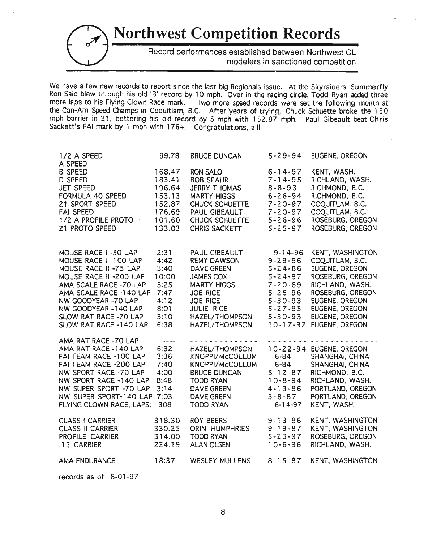## **Northwest Competition Records** . Record performances established between Northwest CL . modelers in sanctioned competition

We have a few new records to report since the last big Regionals issue. At the Skyraiders Summerfly Ron Salo blew through his old 'B' record by 10 mph. Over in the racing circle, Todd Ryan added three more laps to his Flying Clown Race mark. Two more speed records were set the following month at the Can-Am Speed Champs in Coquitlam, B.C. After years of trying, Chuck SChuette broke the 150 mph barrier in 21, bettering his old record by 5 mph with 152.87 mph. Paul Gibeault beat Chris Sackett's FAI mark by 1 mph with 176+. Congratulations, all!

| 1/2 A SPEED                                                                                                                                                                                                                                           | 99.78                                                                         | <b>BRUCE DUNCAN</b>                                                                                                                                                          | $5 - 29 - 94$                                                                                                                                                           | EUGENE, OREGON                                                                                                                                                                           |
|-------------------------------------------------------------------------------------------------------------------------------------------------------------------------------------------------------------------------------------------------------|-------------------------------------------------------------------------------|------------------------------------------------------------------------------------------------------------------------------------------------------------------------------|-------------------------------------------------------------------------------------------------------------------------------------------------------------------------|------------------------------------------------------------------------------------------------------------------------------------------------------------------------------------------|
| A SPEED<br><b>B SPEED</b><br><b>D SPEED</b><br><b>JET SPEED</b><br>FORMULA 40 SPEED<br>21 SPORT SPEED<br><b>FAI SPEED</b><br>1/2 A PROFILE PROTO ·<br>21 PROTO SPEED                                                                                  | 168.47<br>183.41<br>196.64<br>153.13<br>152.87<br>176.69<br>101.60<br>133.03  | RON SALO<br><b>BOB SPAHR</b><br><b>JERRY THOMAS</b><br><b>MARTY HIGGS</b><br>CHUCK SCHUETTE<br>PAUL GIBEAULT<br>CHUCK SCHUETTE<br>CHRIS SACKETT                              | $6 - 14 - 97$<br>$7 - 14 - 95$<br>$8 - 8 - 93$<br>$6 - 26 - 94$<br>$7 - 20 - 97$<br>$7 - 20 - 97$<br>$5 - 26 - 96$<br>$5 - 25 - 97$                                     | KENT, WASH.<br>RICHLAND, WASH.<br>RICHMOND, B.C.<br>RICHMOND, B.C.<br>COQUITLAM, B.C.<br>COQUITLAM, B.C.<br>ROSEBURG, OREGON<br>ROSEBURG, OREGON                                         |
| MOUSE RACE I-50 LAP<br>MOUSE RACE I-100 LAP<br>MOUSE RACE II -75 LAP<br>MOUSE RACE II -200 LAP<br>AMA SCALE RACE -70 LAP<br>AMA SCALE RACE -140 LAP<br>NW GOODYEAR -70 LAP<br>NW GOODYEAR -140 LAP<br>SLOW RAT RACE -70 LAP<br>SLOW RAT RACE -140 LAP | 2:31<br>4:42<br>3:40<br>10:00<br>3:25<br>7:47<br>4:12<br>8:01<br>3:10<br>6:38 | PAUL GIBEAULT<br><b>REMY DAWSON</b><br><b>DAVE GREEN</b><br>JAMES COX<br><b>MARTY HIGGS</b><br><b>JOE RICE</b><br>JOE RICE<br>JULIE RICE<br>HAZEL/THOMPSON<br>HAZEL/THOMPSON | $9 - 14 - 96$<br>$9 - 29 - 96$<br>$5 - 24 - 86$<br>$5 - 24 - 97$<br>$7 - 20 - 89$<br>$5 - 25 - 96$<br>$5 - 30 - 93$<br>$5 - 27 - 95$<br>$5 - 30 - 93$<br>$10 - 17 - 92$ | KENT, WASHINGTON<br>COQUITLAM, B.C.<br>EUGENE, OREGON<br>ROSEBURG, OREGON<br>RICHLAND, WASH.<br>ROSEBURG, OREGON<br>EUGENE, OREGON<br>EUGENE, OREGON<br>EUGENE, OREGON<br>EUGENE, OREGON |
| AMA RAT RACE -70 LAP<br>AMA RAT RACE -140 LAP<br>FAI TEAM RACE -100 LAP<br>FAI TEAM RACE -200 LAP<br>NW SPORT RACE -70 LAP<br>NW SPORT RACE -140 LAP<br>NW SUPER SPORT -70 LAP<br>NW SUPER SPORT-140 LAP<br>FLYING CLOWN RACE, LAPS:                  | ----<br>6:32<br>3:36<br>7:40<br>4:00<br>8:48<br>3:14<br>7:03<br>308           | HAZEL/THOMPSON<br>KNOPPI/McCOLLUM<br>KNOPPI/McCOLLUM<br><b>BRUCE DUNCAN</b><br><b>TODD RYAN</b><br>DAVE GREEN<br><b>DAVE GREEN</b><br>TODD RYAN                              | $-10 - 22 - 94$<br>$6 - 84$<br>$6 - 84$<br>$5 - 12 - 87$<br>$10 - 8 - 94$<br>$4 - 13 - 86$<br>$3 - 8 - 87$<br>$6 - 14 - 97$                                             | EUGENE, OREGON<br>SHANGHAI, CHINA<br>SHANGHAI, CHINA<br>RICHMOND, B.C.<br>RICHLAND, WASH.<br>PORTLAND, OREGON<br>PORTLAND, OREGON<br>KENT, WASH.                                         |
| <b>CLASS I CARRIER</b><br><b>CLASS II CARRIER</b><br>PROFILE CARRIER<br>.15 CARRIER                                                                                                                                                                   | 318.30<br>$-330.25$<br>314.00<br>224.19                                       | ROY BEERS<br>ORIN HUMPHRIES<br><b>TODD RYAN</b><br><b>ALAN OLSEN</b>                                                                                                         | $9 - 13 - 86$<br>$9 - 19 - 87$<br>$5 - 23 - 97$<br>$10 - 6 - 96$                                                                                                        | KENT, WASHINGTON<br>KENT, WASHINGTON<br>ROSEBURG, OREGON<br>RICHLAND, WASH.                                                                                                              |
| AMA ENDURANCE                                                                                                                                                                                                                                         | 18:37                                                                         | <b>WESLEY MULLENS</b>                                                                                                                                                        | $8 - 15 - 87$                                                                                                                                                           | KENT, WASHINGTON                                                                                                                                                                         |

records as of 8-01-97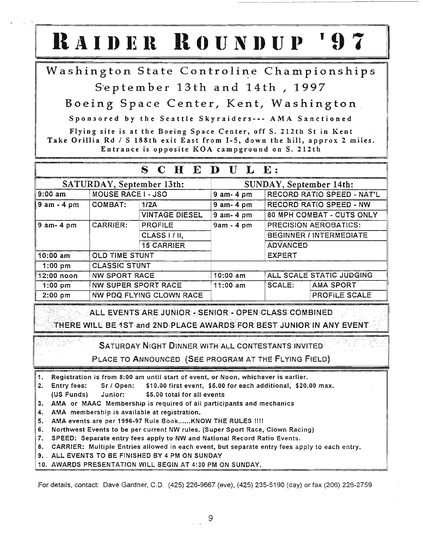# $R$  **AIDER**  $R$  **OUNDUP**

Washington State Controline Championships

September 13th and 14th, 1997

Boeing Space Center, Kent, Washington

Sponsored by the Seattle Skyraiders--- AMA Sanctioned

Flying site is at the Boeing Space Center, off S. 212th St in Kent Take Orillia Rd / S 188th exit East from 1-5, down the hill, approx 2 miles. Entrance is opposite KOA campground on S. 212th

|                           |                            | $S$ C H E D U L E:            |                         |                                  |                  |
|---------------------------|----------------------------|-------------------------------|-------------------------|----------------------------------|------------------|
| SATURDAY, September 13th: |                            |                               | SUNDAY, September 14th: |                                  |                  |
| 9:00 am                   | <b>MOUSE RACE I - JSO</b>  |                               | $9$ am $-4$ pm          | RECORD RATIO SPEED - NAT'L       |                  |
| $9 am - 4 pm$             | <b>COMBAT:</b>             | 1/2A                          | $9$ am- $4$ pm          | <b>RECORD RATIO SPEED - NW</b>   |                  |
|                           |                            | <b>VINTAGE DIESEL</b>         | $9$ am- $4$ pm          | <b>80 MPH COMBAT - CUTS ONLY</b> |                  |
| $9$ am-4 pm               | <b>CARRIER:</b>            | $9am - 4pm$<br><b>PROFILE</b> |                         | <b>PRECISION AEROBATICS:</b>     |                  |
|                           |                            | CLASS I / II,                 |                         | <b>BEGINNER / INTERMEDIATE</b>   |                  |
|                           |                            | <b>15 CARRIER</b>             |                         | <b>ADVANCED</b>                  |                  |
| $10:00$ am                | <b>OLD TIME STUNT</b>      |                               |                         | <b>EXPERT</b>                    |                  |
| $1:00$ pm                 | <b>CLASSIC STUNT</b>       |                               |                         |                                  |                  |
| ∥12:00 noon               | <b>NW SPORT RACE</b>       |                               | $10:00$ am              | ALL SCALE STATIC JUDGING         |                  |
| $1:00$ pm                 | <b>NW SUPER SPORT RACE</b> |                               | $11:00$ am              | <b>SCALE:</b>                    | <b>AMA SPORT</b> |
| $2:00$ pm                 | NW PDQ FLYING CLOWN RACE   |                               |                         |                                  | PROFILE SCALE    |

ALL EVENTS ARE JUNIOR - SENIOR - OPEN CLASS COMBINED THERE WILli BE1STand2NDPLACEAWARp~EORBESTJUNIORIN ANY EVENT . .. ... -..: ..•. ... .•. .. .•• •... •. . • ..:.. .. •.... •...... :.••: ..•. . ·.i· :::•..•.. :: ...:.::... ::•.: <::.:.::..::...

SATURDAY NIGHT DINNER WITH ALL CONTESTANTS INVITED

PLACE TO ANNOUNCED (SEE PROGRAM AT THE FLYING FIELD)

- 1. Registration is from 8:00 am until start of event, or Noon, whichever is earlier.
- 2. Entry fees: Sr I Open: \$10.00 first event, \$5.00 for each additional, \$20.00 max. (US Funds) Junior: \$5.00 total for all events
- 3. AMA or MAAC Membership is required of all participants and mechanics
- 4. AMA membership is available at registration.
- 5. AMA events are per 1996-97 Rule Book......KNOW THE RULES !!!!
- 6. Northwest Events to be per current NW rules. (Super Sport Race, Clown Racing)
- 7. SPEED: Separate entry fees apply to NW and National Record Ratio Events.
- 8. CARRIER: Multiple Entries allowed in each event, but separate entry fees apply to each entry.
- 9. ALL EVENTS TO BE FINISHED BY 4 PM ON SUNDAY
- 10. AWARDS PRESENTATION WILL BEGIN AT 4:30 PM ON SUNDAY.

For details, contact: Dave Gardner, C.D. (425) 226-9667 (eve), (425) 235-5190 (day) or fax (206) 226-2759